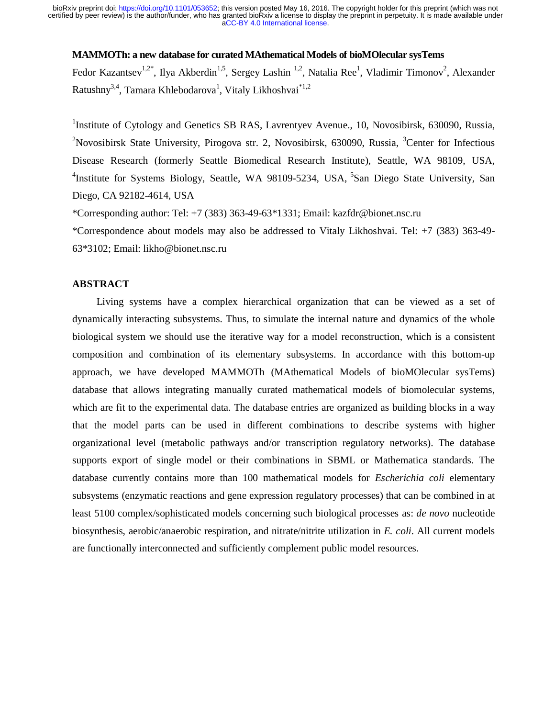## **MAMMOTh: a new database for curated MAthematical Models of bioMOlecular sysTems**

Fedor Kazantsev<sup>1,2\*</sup>, Ilya Akberdin<sup>1,5</sup>, Sergey Lashin<sup>1,2</sup>, Natalia Ree<sup>1</sup>, Vladimir Timonov<sup>2</sup>, Alexander Ratushny<sup>3,4</sup>, Tamara Khlebodarova<sup>1</sup>, Vitaly Likhoshvai<sup>\*1,2</sup>

<sup>1</sup>Institute of Cytology and Genetics SB RAS, Lavrentyev Avenue., 10, Novosibirsk, 630090, Russia, <sup>2</sup>Novosibirsk State University, Pirogova str. 2, Novosibirsk, 630090, Russia, <sup>3</sup>Center for Infectious Disease Research (formerly Seattle Biomedical Research Institute), Seattle, WA 98109, USA, <sup>4</sup>Institute for Systems Biology, Seattle, WA 98109-5234, USA, <sup>5</sup>San Diego State University, San Diego, CA 92182-4614, USA

\*Corresponding author: Tel: +7 (383) 363-49-63\*1331; Email: kazfdr@bionet.nsc.ru

\*Correspondence about models may also be addressed to Vitaly Likhoshvai. Tel: +7 (383) 363-49- 63\*3102; Email: likho@bionet.nsc.ru

# **ABSTRACT**

Living systems have a complex hierarchical organization that can be viewed as a set of dynamically interacting subsystems. Thus, to simulate the internal nature and dynamics of the whole biological system we should use the iterative way for a model reconstruction, which is a consistent composition and combination of its elementary subsystems. In accordance with this bottom-up approach, we have developed MAMMOTh (MAthematical Models of bioMOlecular sysTems) database that allows integrating manually curated mathematical models of biomolecular systems, which are fit to the experimental data. The database entries are organized as building blocks in a way that the model parts can be used in different combinations to describe systems with higher organizational level (metabolic pathways and/or transcription regulatory networks). The database supports export of single model or their combinations in SBML or Mathematica standards. The database currently contains more than 100 mathematical models for *Escherichia coli* elementary subsystems (enzymatic reactions and gene expression regulatory processes) that can be combined in at least 5100 complex/sophisticated models concerning such biological processes as: *de novo* nucleotide biosynthesis, aerobic/anaerobic respiration, and nitrate/nitrite utilization in *E. coli*. All current models are functionally interconnected and sufficiently complement public model resources.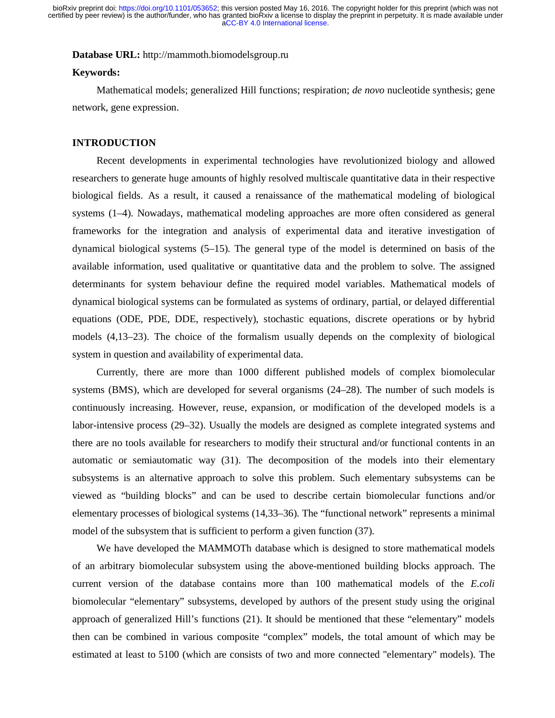[aCC-BY 4.0 International license.](http://creativecommons.org/licenses/by/4.0/) certified by peer review) is the author/funder, who has granted bioRxiv a license to display the preprint in perpetuity. It is made available under bioRxiv preprint doi: [https://doi.org/10.1101/053652;](https://doi.org/10.1101/053652) this version posted May 16, 2016. The copyright holder for this preprint (which was not

### **Database URL:** http://mammoth.biomodelsgroup.ru

### **Keywords:**

Mathematical models; generalized Hill functions; respiration; *de novo* nucleotide synthesis; gene network, gene expression.

#### **INTRODUCTION**

Recent developments in experimental technologies have revolutionized biology and allowed researchers to generate huge amounts of highly resolved multiscale quantitative data in their respective biological fields. As a result, it caused a renaissance of the mathematical modeling of biological systems (1–4). Nowadays, mathematical modeling approaches are more often considered as general frameworks for the integration and analysis of experimental data and iterative investigation of dynamical biological systems (5–15). The general type of the model is determined on basis of the available information, used qualitative or quantitative data and the problem to solve. The assigned determinants for system behaviour define the required model variables. Mathematical models of dynamical biological systems can be formulated as systems of ordinary, partial, or delayed differential equations (ODE, PDE, DDE, respectively), stochastic equations, discrete operations or by hybrid models (4,13–23). The choice of the formalism usually depends on the complexity of biological system in question and availability of experimental data.

Currently, there are more than 1000 different published models of complex biomolecular systems (BMS), which are developed for several organisms (24–28). The number of such models is continuously increasing. However, reuse, expansion, or modification of the developed models is a labor-intensive process (29–32). Usually the models are designed as complete integrated systems and there are no tools available for researchers to modify their structural and/or functional contents in an automatic or semiautomatic way (31). The decomposition of the models into their elementary subsystems is an alternative approach to solve this problem. Such elementary subsystems can be viewed as "building blocks" and can be used to describe certain biomolecular functions and/or elementary processes of biological systems (14,33–36). The "functional network" represents a minimal model of the subsystem that is sufficient to perform a given function (37).

We have developed the MAMMOTh database which is designed to store mathematical models of an arbitrary biomolecular subsystem using the above-mentioned building blocks approach. The current version of the database contains more than 100 mathematical models of the *E.coli* biomolecular "elementary" subsystems, developed by authors of the present study using the original approach of generalized Hill's functions (21). It should be mentioned that these "elementary" models then can be combined in various composite "complex" models, the total amount of which may be estimated at least to 5100 (which are consists of two and more connected "elementary" models). The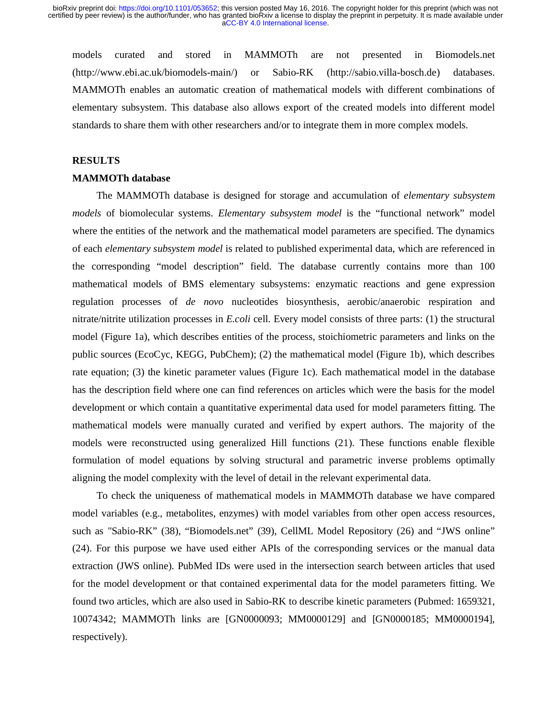models curated and stored in MAMMOTh are not presented in Biomodels.net (http://www.ebi.ac.uk/biomodels-main/) or Sabio-RK (http://sabio.villa-bosch.de) databases. MAMMOTh enables an automatic creation of mathematical models with different combinations of elementary subsystem. This database also allows export of the created models into different model standards to share them with other researchers and/or to integrate them in more complex models.

#### **RESULTS**

## **MAMMOTh database**

The MAMMOTh database is designed for storage and accumulation of *elementary subsystem models* of biomolecular systems*. Elementary subsystem model* is the "functional network" model where the entities of the network and the mathematical model parameters are specified. The dynamics of each *elementary subsystem model* is related to published experimental data, which are referenced in the corresponding "model description" field. The database currently contains more than 100 mathematical models of BMS elementary subsystems: enzymatic reactions and gene expression regulation processes of *de novo* nucleotides biosynthesis, aerobic/anaerobic respiration and nitrate/nitrite utilization processes in *E.coli* cell. Every model consists of three parts: (1) the structural model (Figure 1a), which describes entities of the process, stoichiometric parameters and links on the public sources (EcoCyc, KEGG, PubChem); (2) the mathematical model (Figure 1b), which describes rate equation; (3) the kinetic parameter values (Figure 1c). Each mathematical model in the database has the description field where one can find references on articles which were the basis for the model development or which contain a quantitative experimental data used for model parameters fitting. The mathematical models were manually curated and verified by expert authors. The majority of the models were reconstructed using generalized Hill functions (21). These functions enable flexible formulation of model equations by solving structural and parametric inverse problems optimally aligning the model complexity with the level of detail in the relevant experimental data.

To check the uniqueness of mathematical models in MAMMOTh database we have compared model variables (e.g., metabolites, enzymes) with model variables from other open access resources, such as "Sabio-RK" (38), "Biomodels.net" (39), CellML Model Repository (26) and "JWS online" (24). For this purpose we have used either APIs of the corresponding services or the manual data extraction (JWS online). PubMed IDs were used in the intersection search between articles that used for the model development or that contained experimental data for the model parameters fitting. We found two articles, which are also used in Sabio-RK to describe kinetic parameters (Pubmed: 1659321, 10074342; MAMMOTh links are [GN0000093; MM0000129] and [GN0000185; MM0000194], respectively).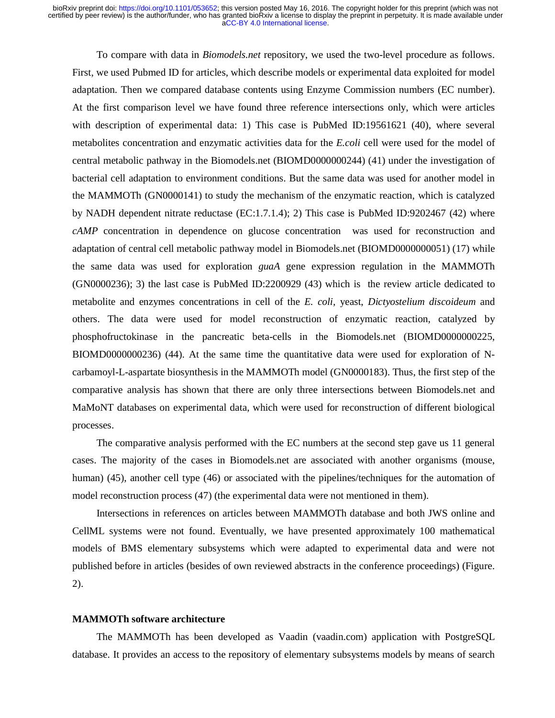To compare with data in *Biomodels.net* repository, we used the two-level procedure as follows. First, we used Pubmed ID for articles, which describe models or experimental data exploited for model adaptation. Then we compared database contents using Enzyme Commission numbers (EC number). At the first comparison level we have found three reference intersections only, which were articles with description of experimental data: 1) This case is PubMed ID:19561621 (40), where several metabolites concentration and enzymatic activities data for the *E.coli* cell were used for the model of central metabolic pathway in the Biomodels.net (BIOMD0000000244) (41) under the investigation of bacterial cell adaptation to environment conditions. But the same data was used for another model in the MAMMOTh (GN0000141) to study the mechanism of the enzymatic reaction, which is catalyzed by NADH dependent nitrate reductase (EC:1.7.1.4); 2) This case is PubMed ID:9202467 (42) where *cAMP* concentration in dependence on glucose concentration was used for reconstruction and adaptation of central cell metabolic pathway model in Biomodels.net (BIOMD0000000051) (17) while the same data was used for exploration *guaA* gene expression regulation in the MAMMOTh (GN0000236); 3) the last case is PubMed ID:2200929 (43) which is the review article dedicated to metabolite and enzymes concentrations in cell of the *E. coli,* yeast, *Dictyostelium discoideum* and others. The data were used for model reconstruction of enzymatic reaction, catalyzed by phosphofructokinase in the pancreatic beta-cells in the Biomodels.net (BIOMD0000000225, BIOMD0000000236) (44). At the same time the quantitative data were used for exploration of Ncarbamoyl-L-aspartate biosynthesis in the MAMMOTh model (GN0000183). Thus, the first step of the comparative analysis has shown that there are only three intersections between Biomodels.net and MaMoNT databases on experimental data, which were used for reconstruction of different biological processes.

The comparative analysis performed with the EC numbers at the second step gave us 11 general cases. The majority of the cases in Biomodels.net are associated with another organisms (mouse, human) (45), another cell type (46) or associated with the pipelines/techniques for the automation of model reconstruction process (47) (the experimental data were not mentioned in them).

Intersections in references on articles between MAMMOTh database and both JWS online and CellML systems were not found. Eventually, we have presented approximately 100 mathematical models of BMS elementary subsystems which were adapted to experimental data and were not published before in articles (besides of own reviewed abstracts in the conference proceedings) (Figure. 2).

### **MAMMOTh software architecture**

The MAMMOTh has been developed as Vaadin (vaadin.com) application with PostgreSQL database. It provides an access to the repository of elementary subsystems models by means of search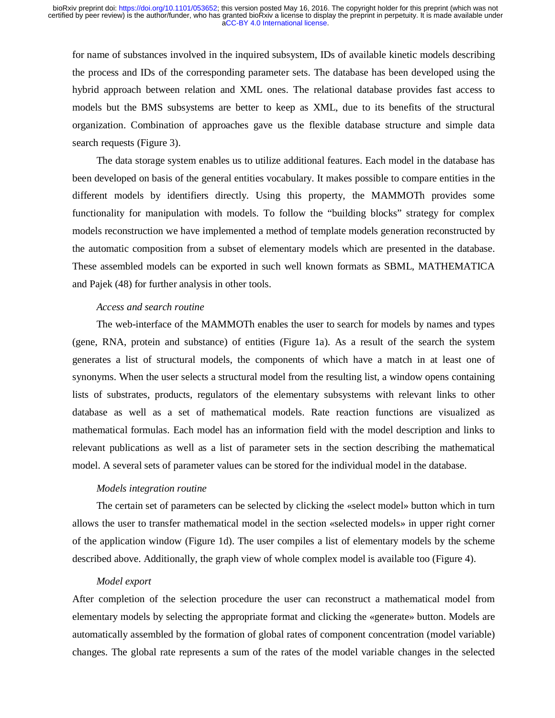for name of substances involved in the inquired subsystem, IDs of available kinetic models describing the process and IDs of the corresponding parameter sets. The database has been developed using the hybrid approach between relation and XML ones. The relational database provides fast access to models but the BMS subsystems are better to keep as XML, due to its benefits of the structural organization. Combination of approaches gave us the flexible database structure and simple data search requests (Figure 3).

The data storage system enables us to utilize additional features. Each model in the database has been developed on basis of the general entities vocabulary. It makes possible to compare entities in the different models by identifiers directly. Using this property, the MAMMOTh provides some functionality for manipulation with models. To follow the "building blocks" strategy for complex models reconstruction we have implemented a method of template models generation reconstructed by the automatic composition from a subset of elementary models which are presented in the database. These assembled models can be exported in such well known formats as SBML, MATHEMATICA and Pajek (48) for further analysis in other tools.

### *Access and search routine*

The web-interface of the MAMMOTh enables the user to search for models by names and types (gene, RNA, protein and substance) of entities (Figure 1a). As a result of the search the system generates a list of structural models, the components of which have a match in at least one of synonyms. When the user selects a structural model from the resulting list, a window opens containing lists of substrates, products, regulators of the elementary subsystems with relevant links to other database as well as a set of mathematical models. Rate reaction functions are visualized as mathematical formulas. Each model has an information field with the model description and links to relevant publications as well as a list of parameter sets in the section describing the mathematical model. A several sets of parameter values can be stored for the individual model in the database.

## *Models integration routine*

The certain set of parameters can be selected by clicking the «select model» button which in turn allows the user to transfer mathematical model in the section «selected models» in upper right corner of the application window (Figure 1d). The user compiles a list of elementary models by the scheme described above. Additionally, the graph view of whole complex model is available too (Figure 4).

#### *Model export*

After completion of the selection procedure the user can reconstruct a mathematical model from elementary models by selecting the appropriate format and clicking the «generate» button. Models are automatically assembled by the formation of global rates of component concentration (model variable) changes. The global rate represents a sum of the rates of the model variable changes in the selected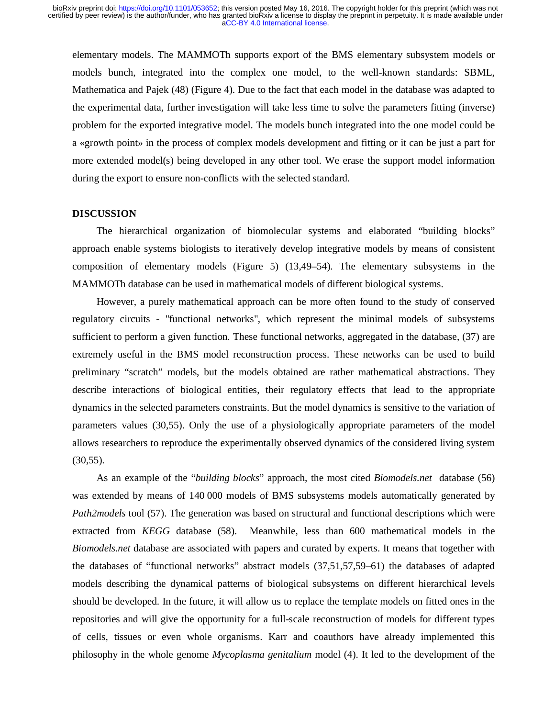elementary models. The MAMMOTh supports export of the BMS elementary subsystem models or models bunch, integrated into the complex one model, to the well-known standards: SBML, Mathematica and Pajek (48) (Figure 4). Due to the fact that each model in the database was adapted to the experimental data, further investigation will take less time to solve the parameters fitting (inverse) problem for the exported integrative model. The models bunch integrated into the one model could be a «growth point» in the process of complex models development and fitting or it can be just a part for more extended model(s) being developed in any other tool. We erase the support model information during the export to ensure non-conflicts with the selected standard.

### **DISCUSSION**

The hierarchical organization of biomolecular systems and elaborated "building blocks" approach enable systems biologists to iteratively develop integrative models by means of consistent composition of elementary models (Figure 5) (13,49–54). The elementary subsystems in the MAMMOTh database can be used in mathematical models of different biological systems.

However, a purely mathematical approach can be more often found to the study of conserved regulatory circuits - "functional networks", which represent the minimal models of subsystems sufficient to perform a given function. These functional networks, aggregated in the database, (37) are extremely useful in the BMS model reconstruction process. These networks can be used to build preliminary "scratch" models, but the models obtained are rather mathematical abstractions. They describe interactions of biological entities, their regulatory effects that lead to the appropriate dynamics in the selected parameters constraints. But the model dynamics is sensitive to the variation of parameters values (30,55). Only the use of a physiologically appropriate parameters of the model allows researchers to reproduce the experimentally observed dynamics of the considered living system  $(30,55)$ .

As an example of the "*building blocks*" approach, the most cited *Biomodels.net* database (56) was extended by means of 140 000 models of BMS subsystems models automatically generated by *Path2models* tool (57). The generation was based on structural and functional descriptions which were extracted from *KEGG* database (58). Meanwhile, less than 600 mathematical models in the *Biomodels.net* database are associated with papers and curated by experts. It means that together with the databases of "functional networks" abstract models (37,51,57,59–61) the databases of adapted models describing the dynamical patterns of biological subsystems on different hierarchical levels should be developed. In the future, it will allow us to replace the template models on fitted ones in the repositories and will give the opportunity for a full-scale reconstruction of models for different types of cells, tissues or even whole organisms. Karr and coauthors have already implemented this philosophy in the whole genome *Mycoplasma genitalium* model (4). It led to the development of the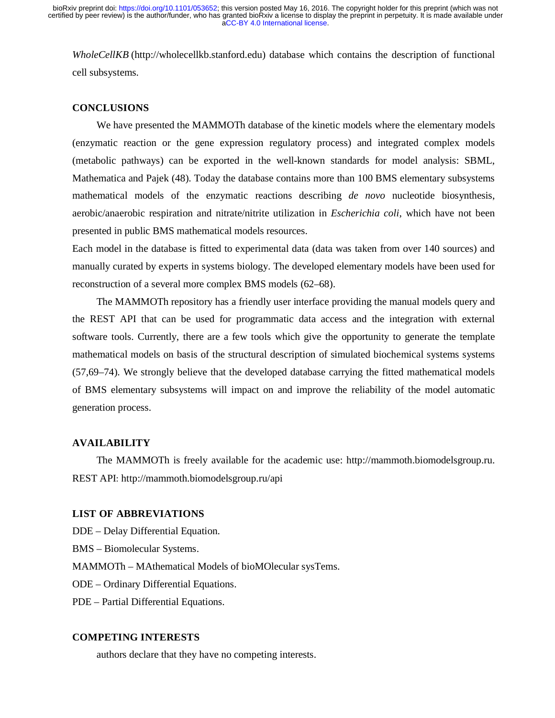*WholeCellKB* (http://wholecellkb.stanford.edu) database which contains the description of functional cell subsystems.

## **CONCLUSIONS**

We have presented the MAMMOTh database of the kinetic models where the elementary models (enzymatic reaction or the gene expression regulatory process) and integrated complex models (metabolic pathways) can be exported in the well-known standards for model analysis: SBML, Mathematica and Pajek (48). Today the database contains more than 100 BMS elementary subsystems mathematical models of the enzymatic reactions describing *de novo* nucleotide biosynthesis, aerobic/anaerobic respiration and nitrate/nitrite utilization in *Escherichia coli*, which have not been presented in public BMS mathematical models resources.

Each model in the database is fitted to experimental data (data was taken from over 140 sources) and manually curated by experts in systems biology. The developed elementary models have been used for reconstruction of a several more complex BMS models (62–68).

The MAMMOTh repository has a friendly user interface providing the manual models query and the REST API that can be used for programmatic data access and the integration with external software tools. Currently, there are a few tools which give the opportunity to generate the template mathematical models on basis of the structural description of simulated biochemical systems systems (57,69–74). We strongly believe that the developed database carrying the fitted mathematical models of BMS elementary subsystems will impact on and improve the reliability of the model automatic generation process.

#### **AVAILABILITY**

The MAMMOTh is freely available for the academic use: http://mammoth.biomodelsgroup.ru. REST API: http://mammoth.biomodelsgroup.ru/api

## **LIST OF ABBREVIATIONS**

- DDE Delay Differential Equation.
- BMS Biomolecular Systems.
- MAMMOTh MAthematical Models of bioMOlecular sysTems.
- ODE Ordinary Differential Equations.
- PDE Partial Differential Equations.

## **COMPETING INTERESTS**

authors declare that they have no competing interests.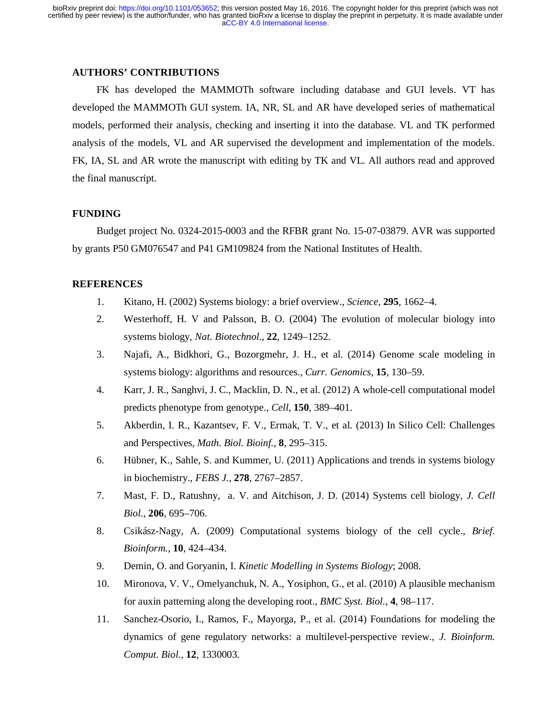## **AUTHORS' CONTRIBUTIONS**

FK has developed the MAMMOTh software including database and GUI levels. VT has developed the MAMMOTh GUI system. IA, NR, SL and AR have developed series of mathematical models, performed their analysis, checking and inserting it into the database. VL and TK performed analysis of the models, VL and AR supervised the development and implementation of the models. FK, IA, SL and AR wrote the manuscript with editing by TK and VL. All authors read and approved the final manuscript.

## **FUNDING**

Budget project No. 0324-2015-0003 and the RFBR grant No. 15-07-03879. AVR was supported by grants P50 GM076547 and P41 GM109824 from the National Institutes of Health.

# **REFERENCES**

- 1. Kitano, H. (2002) Systems biology: a brief overview., *Science*, **295**, 1662–4.
- 2. Westerhoff, H. V and Palsson, B. O. (2004) The evolution of molecular biology into systems biology, *Nat. Biotechnol.*, **22**, 1249–1252.
- 3. Najafi, A., Bidkhori, G., Bozorgmehr, J. H., et al. (2014) Genome scale modeling in systems biology: algorithms and resources., *Curr. Genomics*, **15**, 130–59.
- 4. Karr, J. R., Sanghvi, J. C., Macklin, D. N., et al. (2012) A whole-cell computational model predicts phenotype from genotype., *Cell*, **150**, 389–401.
- 5. Akberdin, I. R., Kazantsev, F. V., Ermak, T. V., et al. (2013) In Silico Cell: Challenges and Perspectives, *Math. Biol. Bioinf.*, **8**, 295–315.
- 6. Hübner, K., Sahle, S. and Kummer, U. (2011) Applications and trends in systems biology in biochemistry., *FEBS J.*, **278**, 2767–2857.
- 7. Mast, F. D., Ratushny, a. V. and Aitchison, J. D. (2014) Systems cell biology, *J. Cell Biol.*, **206**, 695–706.
- 8. Csikász-Nagy, A. (2009) Computational systems biology of the cell cycle., *Brief. Bioinform.*, **10**, 424–434.
- 9. Demin, O. and Goryanin, I. *Kinetic Modelling in Systems Biology*; 2008.
- 10. Mironova, V. V., Omelyanchuk, N. A., Yosiphon, G., et al. (2010) A plausible mechanism for auxin patterning along the developing root., *BMC Syst. Biol.*, **4**, 98–117.
- 11. Sanchez-Osorio, I., Ramos, F., Mayorga, P., et al. (2014) Foundations for modeling the dynamics of gene regulatory networks: a multilevel-perspective review., *J. Bioinform. Comput. Biol.*, **12**, 1330003.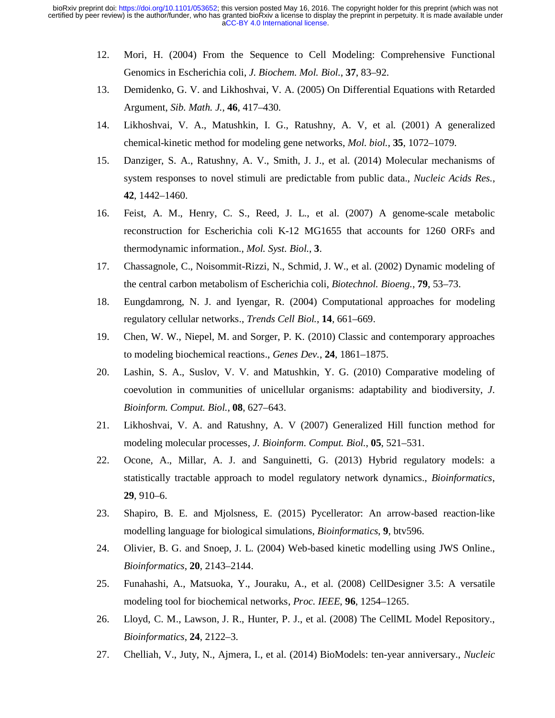- 12. Mori, H. (2004) From the Sequence to Cell Modeling: Comprehensive Functional Genomics in Escherichia coli, *J. Biochem. Mol. Biol.*, **37**, 83–92.
- 13. Demidenko, G. V. and Likhoshvai, V. A. (2005) On Differential Equations with Retarded Argument, *Sib. Math. J.*, **46**, 417–430.
- 14. Likhoshvai, V. A., Matushkin, I. G., Ratushny, A. V, et al. (2001) A generalized chemical-kinetic method for modeling gene networks, *Mol. biol.*, **35**, 1072–1079.
- 15. Danziger, S. A., Ratushny, A. V., Smith, J. J., et al. (2014) Molecular mechanisms of system responses to novel stimuli are predictable from public data., *Nucleic Acids Res.*, **42**, 1442–1460.
- 16. Feist, A. M., Henry, C. S., Reed, J. L., et al. (2007) A genome-scale metabolic reconstruction for Escherichia coli K-12 MG1655 that accounts for 1260 ORFs and thermodynamic information., *Mol. Syst. Biol.*, **3**.
- 17. Chassagnole, C., Noisommit-Rizzi, N., Schmid, J. W., et al. (2002) Dynamic modeling of the central carbon metabolism of Escherichia coli, *Biotechnol. Bioeng.*, **79**, 53–73.
- 18. Eungdamrong, N. J. and Iyengar, R. (2004) Computational approaches for modeling regulatory cellular networks., *Trends Cell Biol.*, **14**, 661–669.
- 19. Chen, W. W., Niepel, M. and Sorger, P. K. (2010) Classic and contemporary approaches to modeling biochemical reactions., *Genes Dev.*, **24**, 1861–1875.
- 20. Lashin, S. A., Suslov, V. V. and Matushkin, Y. G. (2010) Comparative modeling of coevolution in communities of unicellular organisms: adaptability and biodiversity, *J. Bioinform. Comput. Biol.*, **08**, 627–643.
- 21. Likhoshvai, V. A. and Ratushny, A. V (2007) Generalized Hill function method for modeling molecular processes, *J. Bioinform. Comput. Biol.*, **05**, 521–531.
- 22. Ocone, A., Millar, A. J. and Sanguinetti, G. (2013) Hybrid regulatory models: a statistically tractable approach to model regulatory network dynamics., *Bioinformatics*, **29**, 910–6.
- 23. Shapiro, B. E. and Mjolsness, E. (2015) Pycellerator: An arrow-based reaction-like modelling language for biological simulations, *Bioinformatics*, **9**, btv596.
- 24. Olivier, B. G. and Snoep, J. L. (2004) Web-based kinetic modelling using JWS Online., *Bioinformatics*, **20**, 2143–2144.
- 25. Funahashi, A., Matsuoka, Y., Jouraku, A., et al. (2008) CellDesigner 3.5: A versatile modeling tool for biochemical networks, *Proc. IEEE*, **96**, 1254–1265.
- 26. Lloyd, C. M., Lawson, J. R., Hunter, P. J., et al. (2008) The CellML Model Repository., *Bioinformatics*, **24**, 2122–3.
- 27. Chelliah, V., Juty, N., Ajmera, I., et al. (2014) BioModels: ten-year anniversary., *Nucleic*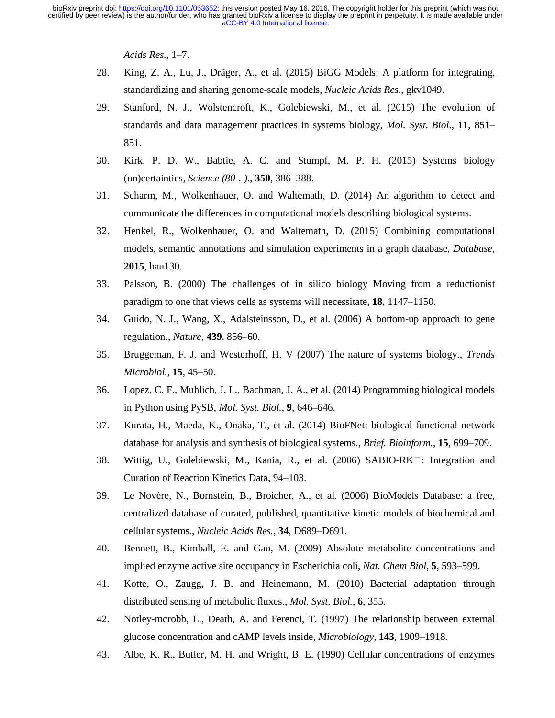*Acids Res.*, 1–7.

- 28. King, Z. A., Lu, J., Dräger, A., et al. (2015) BiGG Models: A platform for integrating, standardizing and sharing genome-scale models, *Nucleic Acids Res.*, gkv1049.
- 29. Stanford, N. J., Wolstencroft, K., Golebiewski, M., et al. (2015) The evolution of standards and data management practices in systems biology, *Mol. Syst. Biol.*, **11**, 851– 851.
- 30. Kirk, P. D. W., Babtie, A. C. and Stumpf, M. P. H. (2015) Systems biology (un)certainties, *Science (80-. ).*, **350**, 386–388.
- 31. Scharm, M., Wolkenhauer, O. and Waltemath, D. (2014) An algorithm to detect and communicate the differences in computational models describing biological systems.
- 32. Henkel, R., Wolkenhauer, O. and Waltemath, D. (2015) Combining computational models, semantic annotations and simulation experiments in a graph database, *Database*, **2015**, bau130.
- 33. Palsson, B. (2000) The challenges of in silico biology Moving from a reductionist paradigm to one that views cells as systems will necessitate, **18**, 1147–1150.
- 34. Guido, N. J., Wang, X., Adalsteinsson, D., et al. (2006) A bottom-up approach to gene regulation., *Nature*, **439**, 856–60.
- 35. Bruggeman, F. J. and Westerhoff, H. V (2007) The nature of systems biology., *Trends Microbiol.*, **15**, 45–50.
- 36. Lopez, C. F., Muhlich, J. L., Bachman, J. A., et al. (2014) Programming biological models in Python using PySB, *Mol. Syst. Biol.*, **9**, 646–646.
- 37. Kurata, H., Maeda, K., Onaka, T., et al. (2014) BioFNet: biological functional network database for analysis and synthesis of biological systems., *Brief. Bioinform.*, **15**, 699–709.
- 38. Wittig, U., Golebiewski, M., Kania, R., et al. (2006) SABIO-RK $\Box$ : Integration and Curation of Reaction Kinetics Data, 94–103.
- 39. Le Novère, N., Bornstein, B., Broicher, A., et al. (2006) BioModels Database: a free, centralized database of curated, published, quantitative kinetic models of biochemical and cellular systems., *Nucleic Acids Res.*, **34**, D689–D691.
- 40. Bennett, B., Kimball, E. and Gao, M. (2009) Absolute metabolite concentrations and implied enzyme active site occupancy in Escherichia coli, *Nat. Chem Biol*, **5**, 593–599.
- 41. Kotte, O., Zaugg, J. B. and Heinemann, M. (2010) Bacterial adaptation through distributed sensing of metabolic fluxes., *Mol. Syst. Biol.*, **6**, 355.
- 42. Notley-mcrobb, L., Death, A. and Ferenci, T. (1997) The relationship between external glucose concentration and cAMP levels inside, *Microbiology*, **143**, 1909–1918.
- 43. Albe, K. R., Butler, M. H. and Wright, B. E. (1990) Cellular concentrations of enzymes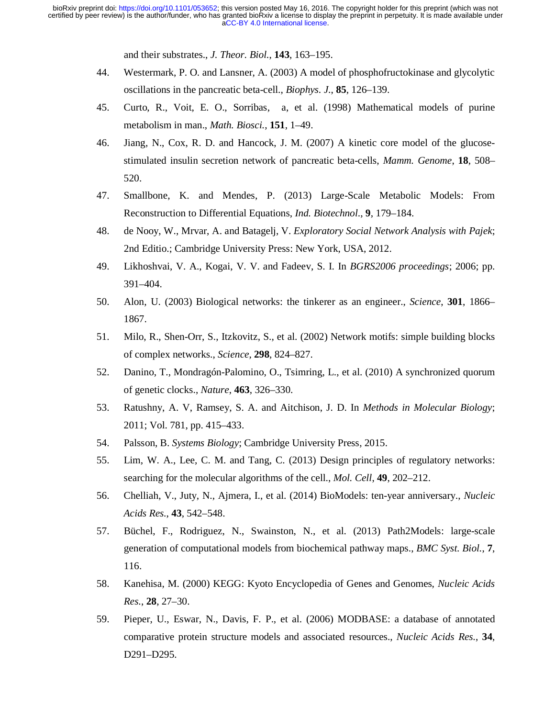and their substrates., *J. Theor. Biol.*, **143**, 163–195.

- 44. Westermark, P. O. and Lansner, A. (2003) A model of phosphofructokinase and glycolytic oscillations in the pancreatic beta-cell., *Biophys. J.*, **85**, 126–139.
- 45. Curto, R., Voit, E. O., Sorribas, a, et al. (1998) Mathematical models of purine metabolism in man., *Math. Biosci.*, **151**, 1–49.
- 46. Jiang, N., Cox, R. D. and Hancock, J. M. (2007) A kinetic core model of the glucosestimulated insulin secretion network of pancreatic beta-cells, *Mamm. Genome*, **18**, 508– 520.
- 47. Smallbone, K. and Mendes, P. (2013) Large-Scale Metabolic Models: From Reconstruction to Differential Equations, *Ind. Biotechnol.*, **9**, 179–184.
- 48. de Nooy, W., Mrvar, A. and Batagelj, V. *Exploratory Social Network Analysis with Pajek*; 2nd Editio.; Cambridge University Press: New York, USA, 2012.
- 49. Likhoshvai, V. A., Kogai, V. V. and Fadeev, S. I. In *BGRS2006 proceedings*; 2006; pp. 391–404.
- 50. Alon, U. (2003) Biological networks: the tinkerer as an engineer., *Science*, **301**, 1866– 1867.
- 51. Milo, R., Shen-Orr, S., Itzkovitz, S., et al. (2002) Network motifs: simple building blocks of complex networks., *Science*, **298**, 824–827.
- 52. Danino, T., Mondragón-Palomino, O., Tsimring, L., et al. (2010) A synchronized quorum of genetic clocks., *Nature*, **463**, 326–330.
- 53. Ratushny, A. V, Ramsey, S. A. and Aitchison, J. D. In *Methods in Molecular Biology*; 2011; Vol. 781, pp. 415–433.
- 54. Palsson, B. *Systems Biology*; Cambridge University Press, 2015.
- 55. Lim, W. A., Lee, C. M. and Tang, C. (2013) Design principles of regulatory networks: searching for the molecular algorithms of the cell., *Mol. Cell*, **49**, 202–212.
- 56. Chelliah, V., Juty, N., Ajmera, I., et al. (2014) BioModels: ten-year anniversary., *Nucleic Acids Res.*, **43**, 542–548.
- 57. Büchel, F., Rodriguez, N., Swainston, N., et al. (2013) Path2Models: large-scale generation of computational models from biochemical pathway maps., *BMC Syst. Biol.*, **7**, 116.
- 58. Kanehisa, M. (2000) KEGG: Kyoto Encyclopedia of Genes and Genomes, *Nucleic Acids Res.*, **28**, 27–30.
- 59. Pieper, U., Eswar, N., Davis, F. P., et al. (2006) MODBASE: a database of annotated comparative protein structure models and associated resources., *Nucleic Acids Res.*, **34**, D291–D295.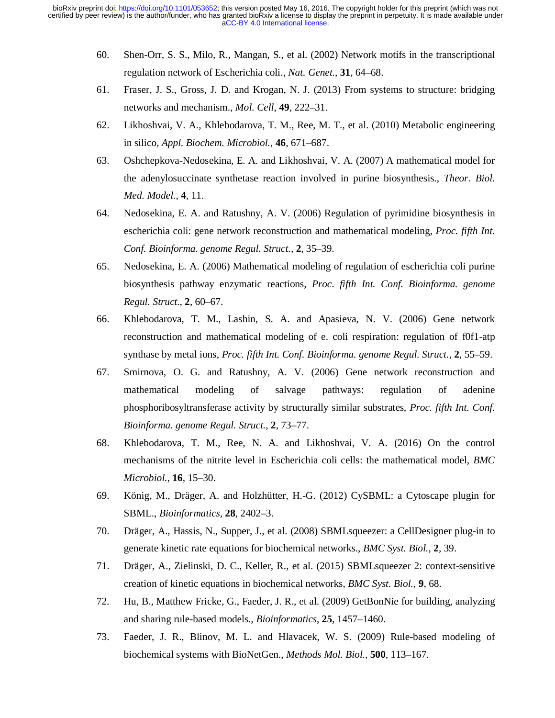- 60. Shen-Orr, S. S., Milo, R., Mangan, S., et al. (2002) Network motifs in the transcriptional regulation network of Escherichia coli., *Nat. Genet.*, **31**, 64–68.
- 61. Fraser, J. S., Gross, J. D. and Krogan, N. J. (2013) From systems to structure: bridging networks and mechanism., *Mol. Cell*, **49**, 222–31.
- 62. Likhoshvai, V. A., Khlebodarova, T. M., Ree, M. T., et al. (2010) Metabolic engineering in silico, *Appl. Biochem. Microbiol.*, **46**, 671–687.
- 63. Oshchepkova-Nedosekina, E. A. and Likhoshvai, V. A. (2007) A mathematical model for the adenylosuccinate synthetase reaction involved in purine biosynthesis., *Theor. Biol. Med. Model.*, **4**, 11.
- 64. Nedosekina, E. A. and Ratushny, A. V. (2006) Regulation of pyrimidine biosynthesis in escherichia coli: gene network reconstruction and mathematical modeling, *Proc. fifth Int. Conf. Bioinforma. genome Regul. Struct.*, **2**, 35–39.
- 65. Nedosekina, E. A. (2006) Mathematical modeling of regulation of escherichia coli purine biosynthesis pathway enzymatic reactions, *Proc. fifth Int. Conf. Bioinforma. genome Regul. Struct.*, **2**, 60–67.
- 66. Khlebodarova, T. M., Lashin, S. A. and Apasieva, N. V. (2006) Gene network reconstruction and mathematical modeling of e. coli respiration: regulation of f0f1-atp synthase by metal ions, *Proc. fifth Int. Conf. Bioinforma. genome Regul. Struct.*, **2**, 55–59.
- 67. Smirnova, O. G. and Ratushny, A. V. (2006) Gene network reconstruction and mathematical modeling of salvage pathways: regulation of adenine phosphoribosyltransferase activity by structurally similar substrates, *Proc. fifth Int. Conf. Bioinforma. genome Regul. Struct.*, **2**, 73–77.
- 68. Khlebodarova, T. M., Ree, N. A. and Likhoshvai, V. A. (2016) On the control mechanisms of the nitrite level in Escherichia coli cells: the mathematical model, *BMC Microbiol.*, **16**, 15–30.
- 69. König, M., Dräger, A. and Holzhütter, H.-G. (2012) CySBML: a Cytoscape plugin for SBML., *Bioinformatics*, **28**, 2402–3.
- 70. Dräger, A., Hassis, N., Supper, J., et al. (2008) SBMLsqueezer: a CellDesigner plug-in to generate kinetic rate equations for biochemical networks., *BMC Syst. Biol.*, **2**, 39.
- 71. Dräger, A., Zielinski, D. C., Keller, R., et al. (2015) SBMLsqueezer 2: context-sensitive creation of kinetic equations in biochemical networks, *BMC Syst. Biol.*, **9**, 68.
- 72. Hu, B., Matthew Fricke, G., Faeder, J. R., et al. (2009) GetBonNie for building, analyzing and sharing rule-based models., *Bioinformatics*, **25**, 1457–1460.
- 73. Faeder, J. R., Blinov, M. L. and Hlavacek, W. S. (2009) Rule-based modeling of biochemical systems with BioNetGen., *Methods Mol. Biol.*, **500**, 113–167.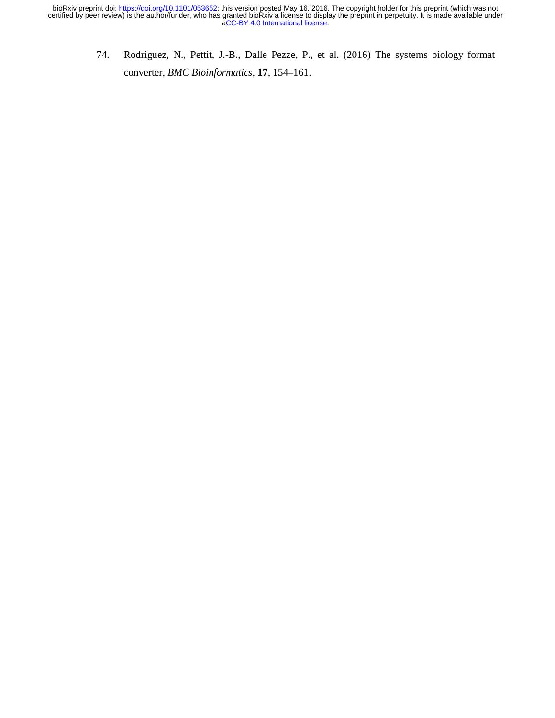74. Rodriguez, N., Pettit, J.-B., Dalle Pezze, P., et al. (2016) The systems biology format converter, *BMC Bioinformatics*, **17**, 154–161.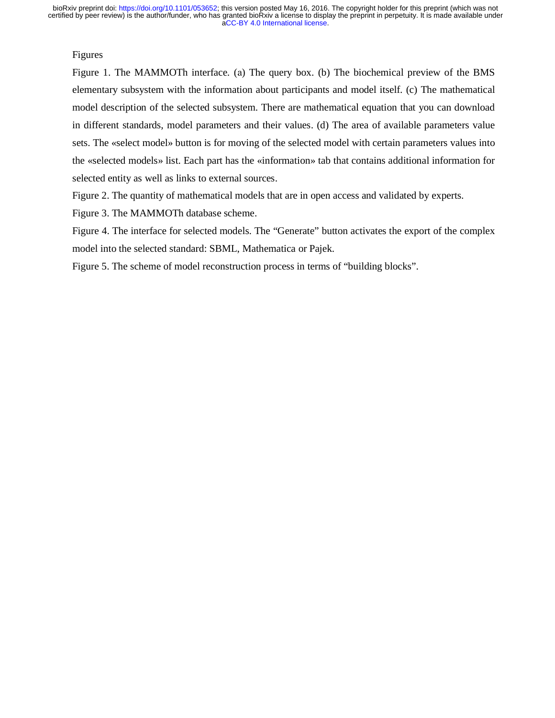[aCC-BY 4.0 International license.](http://creativecommons.org/licenses/by/4.0/) certified by peer review) is the author/funder, who has granted bioRxiv a license to display the preprint in perpetuity. It is made available under bioRxiv preprint doi: [https://doi.org/10.1101/053652;](https://doi.org/10.1101/053652) this version posted May 16, 2016. The copyright holder for this preprint (which was not

## Figures

Figure 1. The MAMMOTh interface. (а) The query box. (b) The biochemical preview of the BMS elementary subsystem with the information about participants and model itself. (c) The mathematical model description of the selected subsystem. There are mathematical equation that you can download in different standards, model parameters and their values. (d) The area of available parameters value sets. The «select model» button is for moving of the selected model with certain parameters values into the «selected models» list. Each part has the «information» tab that contains additional information for selected entity as well as links to external sources.

Figure 2. The quantity of mathematical models that are in open access and validated by experts.

Figure 3. The MAMMOTh database scheme.

Figure 4. The interface for selected models. The "Generate" button activates the export of the complex model into the selected standard: SBML, Mathematica or Pajek.

Figure 5. The scheme of model reconstruction process in terms of "building blocks".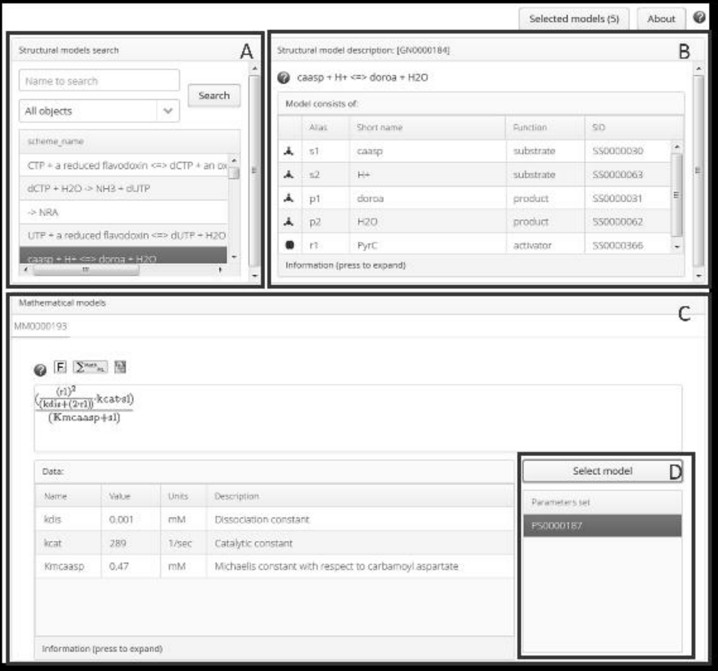| Stratturel models search                                                    |                                                 |              | A                    |                    | Structurel model description: (CRODOE184)                                    |                |              | R      |
|-----------------------------------------------------------------------------|-------------------------------------------------|--------------|----------------------|--------------------|------------------------------------------------------------------------------|----------------|--------------|--------|
| Name to search                                                              |                                                 |              |                      |                    | © саар - н- <m- +="" dorpa="" h2o<="" td=""><td></td><td></td><td></td></m-> |                |              |        |
| All objects                                                                 |                                                 | ×            | Search               | Model consists of: |                                                                              |                |              |        |
|                                                                             |                                                 |              |                      | Alian              | <b>Continent</b>                                                             | Rindlen        | 50           |        |
| scheme name                                                                 |                                                 |              | ä.                   | t1                 | casso                                                                        | substrate      | connocan     |        |
|                                                                             | CTP + a reduced flavodoxin <= > CCTP + an oxide |              |                      | $\overline{a}$     | p.                                                                           | substrate      | \$50000067   |        |
|                                                                             | $dCP + bCD \Rightarrow bHZ + dJTP$              |              |                      | D1                 | doroa                                                                        | product.       | \$5000031    |        |
| $+1888$                                                                     |                                                 |              |                      | p7                 | KOD.                                                                         | product.       | 530000002    |        |
|                                                                             | UTP + a reduced flavodoxin <w> dUTP + H2O</w>   |              |                      |                    |                                                                              |                |              |        |
| ×<br>Mathematical models<br>MAX200193<br>@ E 2 <sup>no</sup> x H<br>$(1)^2$ | CISH - EDISO CTS HAM CEED                       |              |                      | $\mathbf{r}$       | PVID<br>Idnesse of saves economichi                                          | activonar      | 550003966    |        |
| (Solivecy-og-kcat-el)<br>$(K$ recassp $+$ sl]                               |                                                 |              |                      |                    |                                                                              |                |              |        |
| Data:                                                                       |                                                 |              |                      |                    |                                                                              |                | Select model |        |
|                                                                             | Velon                                           | <b>Units</b> | Description          |                    |                                                                              | Parameters set |              |        |
|                                                                             | 0.001                                           | eist         | Distriction constant |                    |                                                                              | PS2000187      |              | Ċ<br>п |
| Aluma<br><b>Sylv</b><br><b>kcid</b>                                         | 289                                             | 1 core       | Catalutic commant    |                    |                                                                              |                |              |        |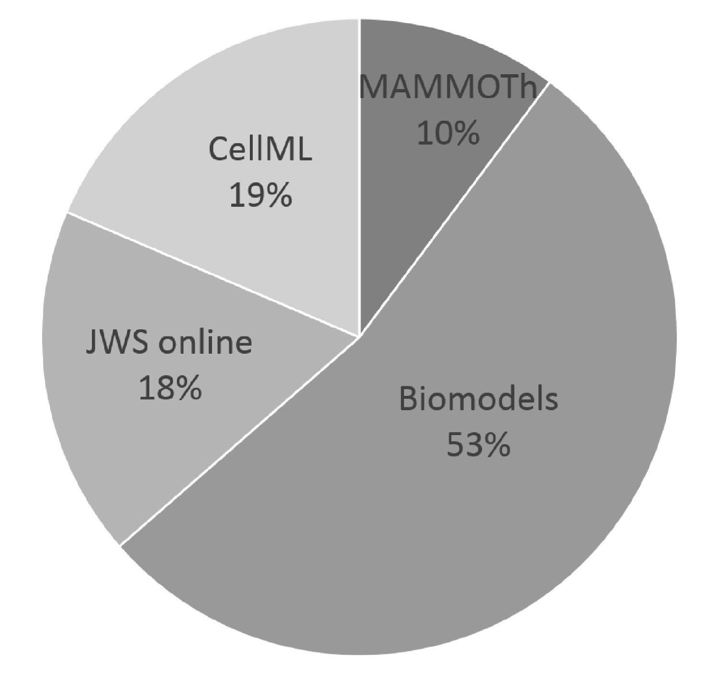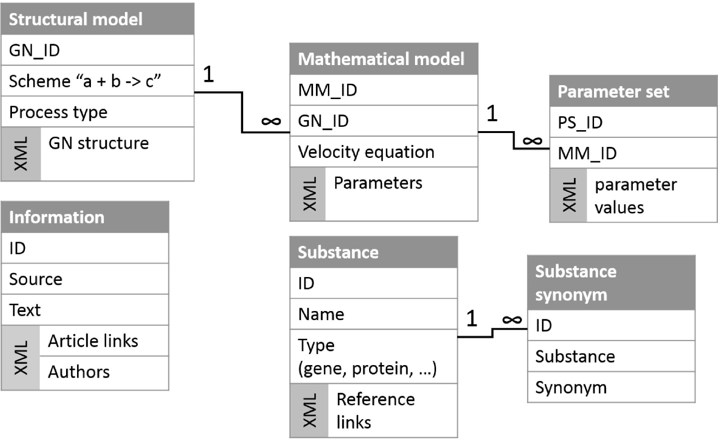

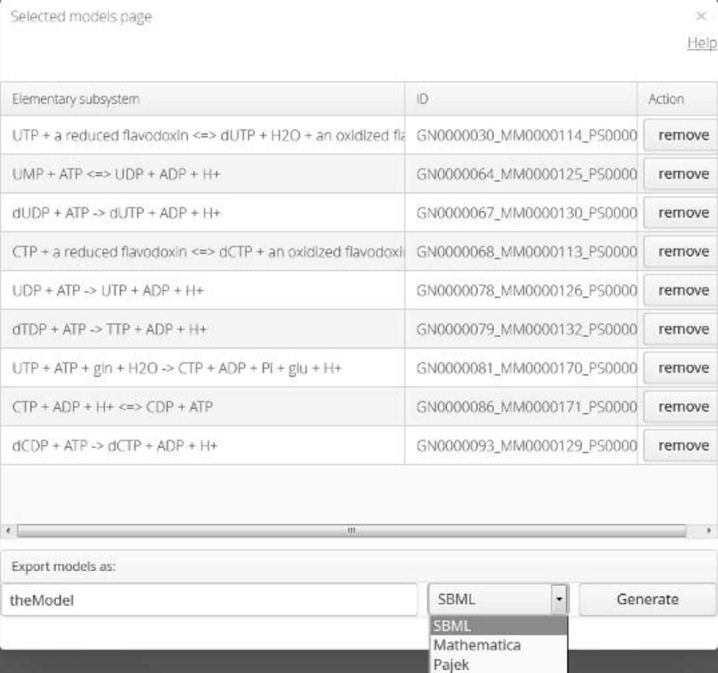Selected models page



| Elementary subsystem                                             | $\mathbb{R}$               | Action |
|------------------------------------------------------------------|----------------------------|--------|
| UTP + a redured flavoroush <e> dLITP + H2Q + an oxidized fla</e> | GN0000030 MM0000114 PS0000 | remove |
| $UMP + ATP < \leftrightarrow UDP + ADP + H+$                     | GN0000064 MM0000125 PS0000 | remove |
| $d  f P + d  P  \geq d  f  P + d  P + H +$                       | GN0000067 MM0000130 PS0000 | remove |
| CTP + a reduced flavoriosin <<> dCTP + an oxidized flavoriosi    | GN0000068 MM0000113 PS0000 | remove |
| $LDP + ATP \Rightarrow LTP + ADP + H+$                           | GN0000078 MM0000126 PS0000 | remove |
| $dTDP + ATP \rightarrow TTP + APP + HF$                          | GN0000079 MM0000132 PS0000 | remove |
| UTP + ATP + gin + H2O -> CTP + ADP + PI + giu + H+               | GN0000081_MM0000170_PS0000 | remove |
| $CTP + \Delta \Omega P + H + \cos C \Omega P + \Delta T P$       | GN0000086 MM0000171 PS0000 | remove |
| $dCDP + ATP \rightarrow dCTP + ADP + H+$                         | GN0000093 MM0000129 PS0000 | remove |